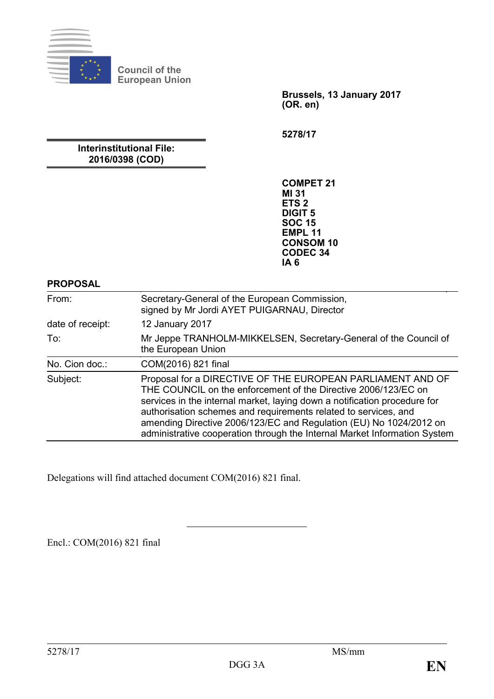

**Council of the European Union**

> **Brussels, 13 January 2017 (OR. en)**

**5278/17**

**Interinstitutional File: 2016/0398 (COD)**

> **COMPET 21 MI 31 ETS 2 DIGIT 5 SOC 15 EMPL 11 CONSOM 10 CODEC 34 IA 6**

#### **PROPOSAL**

| From:            | Secretary-General of the European Commission,<br>signed by Mr Jordi AYET PUIGARNAU, Director                                                                                                                                                                                                                                                                                                                                    |
|------------------|---------------------------------------------------------------------------------------------------------------------------------------------------------------------------------------------------------------------------------------------------------------------------------------------------------------------------------------------------------------------------------------------------------------------------------|
| date of receipt: | 12 January 2017                                                                                                                                                                                                                                                                                                                                                                                                                 |
| To:              | Mr Jeppe TRANHOLM-MIKKELSEN, Secretary-General of the Council of<br>the European Union                                                                                                                                                                                                                                                                                                                                          |
| No. Cion doc.:   | COM(2016) 821 final                                                                                                                                                                                                                                                                                                                                                                                                             |
| Subject:         | Proposal for a DIRECTIVE OF THE EUROPEAN PARLIAMENT AND OF<br>THE COUNCIL on the enforcement of the Directive 2006/123/EC on<br>services in the internal market, laying down a notification procedure for<br>authorisation schemes and requirements related to services, and<br>amending Directive 2006/123/EC and Regulation (EU) No 1024/2012 on<br>administrative cooperation through the Internal Market Information System |

Delegations will find attached document COM(2016) 821 final.

Encl.: COM(2016) 821 final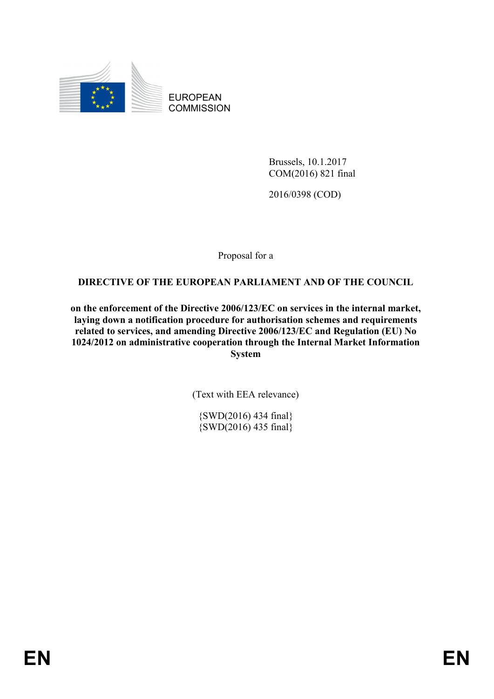

EUROPEAN **COMMISSION** 

> Brussels, 10.1.2017 COM(2016) 821 final

2016/0398 (COD)

Proposal for a

## **DIRECTIVE OF THE EUROPEAN PARLIAMENT AND OF THE COUNCIL**

**on the enforcement of the Directive 2006/123/EC on services in the internal market, laying down a notification procedure for authorisation schemes and requirements related to services, and amending Directive 2006/123/EC and Regulation (EU) No 1024/2012 on administrative cooperation through the Internal Market Information System**

(Text with EEA relevance)

{SWD(2016) 434 final} {SWD(2016) 435 final}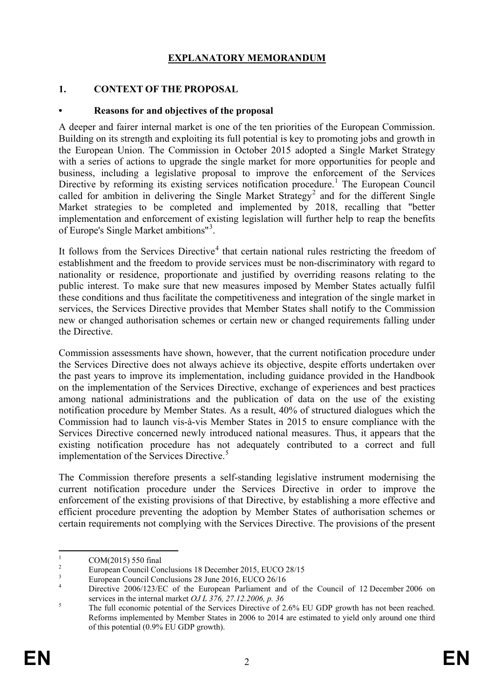## **EXPLANATORY MEMORANDUM**

#### **1. CONTEXT OF THE PROPOSAL**

#### **• Reasons for and objectives of the proposal**

A deeper and fairer internal market is one of the ten priorities of the European Commission. Building on its strength and exploiting its full potential is key to promoting jobs and growth in the European Union. The Commission in October 2015 adopted a Single Market Strategy with a series of actions to upgrade the single market for more opportunities for people and business, including a legislative proposal to improve the enforcement of the Services Directive by reforming its existing services notification procedure.<sup>[1](#page-2-0)</sup> The European Council called for ambition in delivering the Single Market Strategy<sup>[2](#page-2-1)</sup> and for the different Single Market strategies to be completed and implemented by 2018, recalling that "better implementation and enforcement of existing legislation will further help to reap the benefits of Europe's Single Market ambitions"<sup>[3](#page-2-2)</sup>.

It follows from the Services Directive<sup>[4](#page-2-3)</sup> that certain national rules restricting the freedom of establishment and the freedom to provide services must be non-discriminatory with regard to nationality or residence, proportionate and justified by overriding reasons relating to the public interest. To make sure that new measures imposed by Member States actually fulfil these conditions and thus facilitate the competitiveness and integration of the single market in services, the Services Directive provides that Member States shall notify to the Commission new or changed authorisation schemes or certain new or changed requirements falling under the Directive.

Commission assessments have shown, however, that the current notification procedure under the Services Directive does not always achieve its objective, despite efforts undertaken over the past years to improve its implementation, including guidance provided in the Handbook on the implementation of the Services Directive, exchange of experiences and best practices among national administrations and the publication of data on the use of the existing notification procedure by Member States. As a result, 40% of structured dialogues which the Commission had to launch vis-à-vis Member States in 2015 to ensure compliance with the Services Directive concerned newly introduced national measures. Thus, it appears that the existing notification procedure has not adequately contributed to a correct and full implementation of the Services Directive.<sup>[5](#page-2-4)</sup>

The Commission therefore presents a self-standing legislative instrument modernising the current notification procedure under the Services Directive in order to improve the enforcement of the existing provisions of that Directive, by establishing a more effective and efficient procedure preventing the adoption by Member States of authorisation schemes or certain requirements not complying with the Services Directive. The provisions of the present

<span id="page-2-3"></span><span id="page-2-2"></span>

<span id="page-2-1"></span><span id="page-2-0"></span> $\frac{2}{3}$  COM(2015) 550 final<br>European Council Conclusions 18 December 2015, EUCO 28/15<br>European Council Conclusions 28 June 2016, EUCO 26/16<br>A Directive 2006/123/EC of the European Parliament and of the Council of 12 Dec services in the internal market *OJ L 376, 27.12.2006, p. 36*<br>The full economic potential of the Services Directive of 2.6% EU GDP growth has not been reached.

<span id="page-2-4"></span>Reforms implemented by Member States in 2006 to 2014 are estimated to yield only around one third of this potential (0.9% EU GDP growth).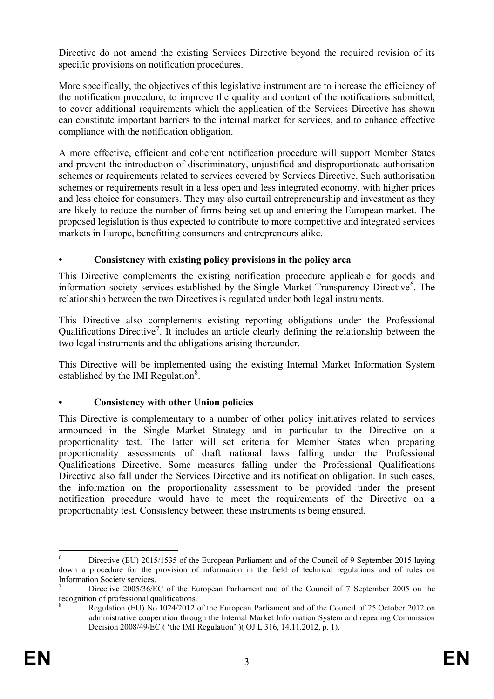Directive do not amend the existing Services Directive beyond the required revision of its specific provisions on notification procedures.

More specifically, the objectives of this legislative instrument are to increase the efficiency of the notification procedure, to improve the quality and content of the notifications submitted, to cover additional requirements which the application of the Services Directive has shown can constitute important barriers to the internal market for services, and to enhance effective compliance with the notification obligation.

A more effective, efficient and coherent notification procedure will support Member States and prevent the introduction of discriminatory, unjustified and disproportionate authorisation schemes or requirements related to services covered by Services Directive. Such authorisation schemes or requirements result in a less open and less integrated economy, with higher prices and less choice for consumers. They may also curtail entrepreneurship and investment as they are likely to reduce the number of firms being set up and entering the European market. The proposed legislation is thus expected to contribute to more competitive and integrated services markets in Europe, benefitting consumers and entrepreneurs alike.

## **• Consistency with existing policy provisions in the policy area**

This Directive complements the existing notification procedure applicable for goods and information society services established by the Single Market Transparency Directive<sup>[6](#page-3-0)</sup>. The relationship between the two Directives is regulated under both legal instruments.

This Directive also complements existing reporting obligations under the Professional Qualifications Directive<sup>[7](#page-3-1)</sup>. It includes an article clearly defining the relationship between the two legal instruments and the obligations arising thereunder.

This Directive will be implemented using the existing Internal Market Information System established by the IMI Regulation<sup>[8](#page-3-2)</sup>.

## **• Consistency with other Union policies**

This Directive is complementary to a number of other policy initiatives related to services announced in the Single Market Strategy and in particular to the Directive on a proportionality test. The latter will set criteria for Member States when preparing proportionality assessments of draft national laws falling under the Professional Qualifications Directive. Some measures falling under the Professional Qualifications Directive also fall under the Services Directive and its notification obligation. In such cases, the information on the proportionality assessment to be provided under the present notification procedure would have to meet the requirements of the Directive on a proportionality test. Consistency between these instruments is being ensured.

<span id="page-3-0"></span><sup>&</sup>lt;sup>6</sup> Directive (EU) 2015/1535 of the European Parliament and of the Council of 9 September 2015 laying down a procedure for the provision of information in the field of technical regulations and of rules on Information Society services.

<span id="page-3-2"></span><span id="page-3-1"></span><sup>7</sup> Directive 2005/36/EC of the European Parliament and of the Council of 7 September 2005 on the recognition of professional qualifications.

<sup>8</sup> Regulation (EU) No 1024/2012 of the European Parliament and of the Council of 25 October 2012 on administrative cooperation through the Internal Market Information System and repealing Commission Decision 2008/49/EC ( 'the IMI Regulation' )( OJ L 316, 14.11.2012, p. 1).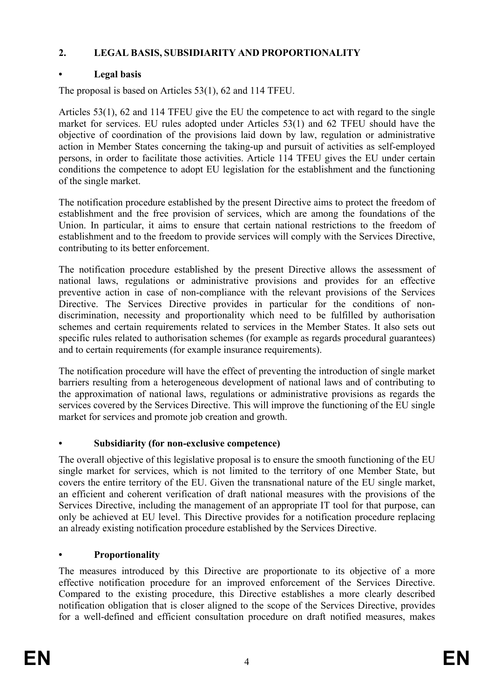## **2. LEGAL BASIS, SUBSIDIARITY AND PROPORTIONALITY**

# **• Legal basis**

The proposal is based on Articles 53(1), 62 and 114 TFEU.

Articles 53(1), 62 and 114 TFEU give the EU the competence to act with regard to the single market for services. EU rules adopted under Articles 53(1) and 62 TFEU should have the objective of coordination of the provisions laid down by law, regulation or administrative action in Member States concerning the taking-up and pursuit of activities as self-employed persons, in order to facilitate those activities. Article 114 TFEU gives the EU under certain conditions the competence to adopt EU legislation for the establishment and the functioning of the single market.

The notification procedure established by the present Directive aims to protect the freedom of establishment and the free provision of services, which are among the foundations of the Union. In particular, it aims to ensure that certain national restrictions to the freedom of establishment and to the freedom to provide services will comply with the Services Directive, contributing to its better enforcement.

The notification procedure established by the present Directive allows the assessment of national laws, regulations or administrative provisions and provides for an effective preventive action in case of non-compliance with the relevant provisions of the Services Directive. The Services Directive provides in particular for the conditions of nondiscrimination, necessity and proportionality which need to be fulfilled by authorisation schemes and certain requirements related to services in the Member States. It also sets out specific rules related to authorisation schemes (for example as regards procedural guarantees) and to certain requirements (for example insurance requirements).

The notification procedure will have the effect of preventing the introduction of single market barriers resulting from a heterogeneous development of national laws and of contributing to the approximation of national laws, regulations or administrative provisions as regards the services covered by the Services Directive. This will improve the functioning of the EU single market for services and promote job creation and growth.

# **• Subsidiarity (for non-exclusive competence)**

The overall objective of this legislative proposal is to ensure the smooth functioning of the EU single market for services, which is not limited to the territory of one Member State, but covers the entire territory of the EU. Given the transnational nature of the EU single market, an efficient and coherent verification of draft national measures with the provisions of the Services Directive, including the management of an appropriate IT tool for that purpose, can only be achieved at EU level. This Directive provides for a notification procedure replacing an already existing notification procedure established by the Services Directive.

# **• Proportionality**

The measures introduced by this Directive are proportionate to its objective of a more effective notification procedure for an improved enforcement of the Services Directive. Compared to the existing procedure, this Directive establishes a more clearly described notification obligation that is closer aligned to the scope of the Services Directive, provides for a well-defined and efficient consultation procedure on draft notified measures, makes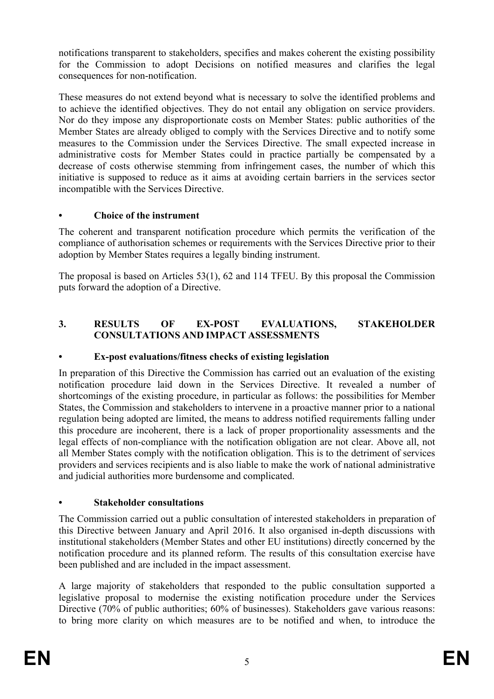notifications transparent to stakeholders, specifies and makes coherent the existing possibility for the Commission to adopt Decisions on notified measures and clarifies the legal consequences for non-notification.

These measures do not extend beyond what is necessary to solve the identified problems and to achieve the identified objectives. They do not entail any obligation on service providers. Nor do they impose any disproportionate costs on Member States: public authorities of the Member States are already obliged to comply with the Services Directive and to notify some measures to the Commission under the Services Directive. The small expected increase in administrative costs for Member States could in practice partially be compensated by a decrease of costs otherwise stemming from infringement cases, the number of which this initiative is supposed to reduce as it aims at avoiding certain barriers in the services sector incompatible with the Services Directive.

## **• Choice of the instrument**

The coherent and transparent notification procedure which permits the verification of the compliance of authorisation schemes or requirements with the Services Directive prior to their adoption by Member States requires a legally binding instrument.

The proposal is based on Articles 53(1), 62 and 114 TFEU. By this proposal the Commission puts forward the adoption of a Directive.

## **3. RESULTS OF EX-POST EVALUATIONS, STAKEHOLDER CONSULTATIONS AND IMPACT ASSESSMENTS**

## **• Ex-post evaluations/fitness checks of existing legislation**

In preparation of this Directive the Commission has carried out an evaluation of the existing notification procedure laid down in the Services Directive. It revealed a number of shortcomings of the existing procedure, in particular as follows: the possibilities for Member States, the Commission and stakeholders to intervene in a proactive manner prior to a national regulation being adopted are limited, the means to address notified requirements falling under this procedure are incoherent, there is a lack of proper proportionality assessments and the legal effects of non-compliance with the notification obligation are not clear. Above all, not all Member States comply with the notification obligation. This is to the detriment of services providers and services recipients and is also liable to make the work of national administrative and judicial authorities more burdensome and complicated.

## **• Stakeholder consultations**

The Commission carried out a public consultation of interested stakeholders in preparation of this Directive between January and April 2016. It also organised in-depth discussions with institutional stakeholders (Member States and other EU institutions) directly concerned by the notification procedure and its planned reform. The results of this consultation exercise have been published and are included in the impact assessment.

A large majority of stakeholders that responded to the public consultation supported a legislative proposal to modernise the existing notification procedure under the Services Directive (70% of public authorities; 60% of businesses). Stakeholders gave various reasons: to bring more clarity on which measures are to be notified and when, to introduce the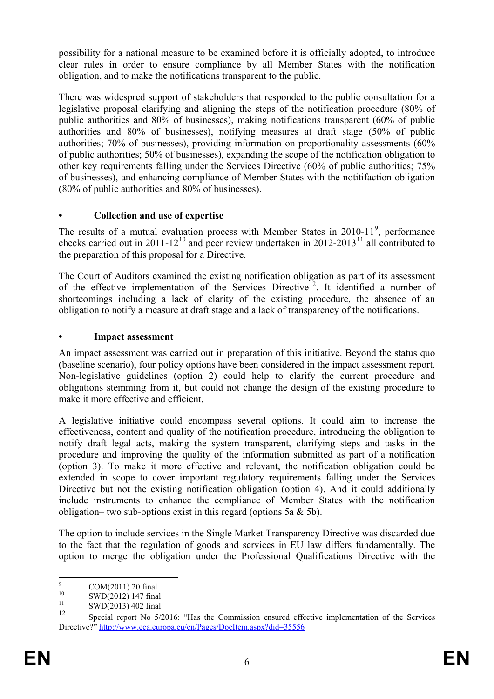possibility for a national measure to be examined before it is officially adopted, to introduce clear rules in order to ensure compliance by all Member States with the notification obligation, and to make the notifications transparent to the public.

There was widespred support of stakeholders that responded to the public consultation for a legislative proposal clarifying and aligning the steps of the notification procedure (80% of public authorities and 80% of businesses), making notifications transparent (60% of public authorities and 80% of businesses), notifying measures at draft stage (50% of public authorities; 70% of businesses), providing information on proportionality assessments (60% of public authorities; 50% of businesses), expanding the scope of the notification obligation to other key requirements falling under the Services Directive (60% of public authorities; 75% of businesses), and enhancing compliance of Member States with the notitifaction obligation (80% of public authorities and 80% of businesses).

## **• Collection and use of expertise**

The results of a mutual evaluation process with Member States in  $2010-11^9$  $2010-11^9$ , performance checks carried out in 2011-12<sup>[10](#page-6-1)</sup> and peer review undertaken in 2012-2013<sup>[11](#page-6-2)</sup> all contributed to the preparation of this proposal for a Directive.

The Court of Auditors examined the existing notification obligation as part of its assessment of the effective implementation of the Services Directive<sup>12</sup>. It identified a number of shortcomings including a lack of clarity of the existing procedure, the absence of an obligation to notify a measure at draft stage and a lack of transparency of the notifications.

## **• Impact assessment**

An impact assessment was carried out in preparation of this initiative. Beyond the status quo (baseline scenario), four policy options have been considered in the impact assessment report. Non-legislative guidelines (option 2) could help to clarify the current procedure and obligations stemming from it, but could not change the design of the existing procedure to make it more effective and efficient.

A legislative initiative could encompass several options. It could aim to increase the effectiveness, content and quality of the notification procedure, introducing the obligation to notify draft legal acts, making the system transparent, clarifying steps and tasks in the procedure and improving the quality of the information submitted as part of a notification (option 3). To make it more effective and relevant, the notification obligation could be extended in scope to cover important regulatory requirements falling under the Services Directive but not the existing notification obligation (option 4). And it could additionally include instruments to enhance the compliance of Member States with the notification obligation– two sub-options exist in this regard (options 5a  $\&$  5b).

The option to include services in the Single Market Transparency Directive was discarded due to the fact that the regulation of goods and services in EU law differs fundamentally. The option to merge the obligation under the Professional Qualifications Directive with the

<span id="page-6-1"></span><span id="page-6-0"></span><sup>9</sup> COM(2011) 20 final<br>
10 SWD(2012) 147 final<br>
12 SWD(2013) 402 final

<span id="page-6-3"></span><span id="page-6-2"></span>Special report No 5/2016: "Has the Commission ensured effective implementation of the Services Directive?[" http://www.eca.europa.eu/en/Pages/DocItem.aspx?did=35556](http://www.eca.europa.eu/en/Pages/DocItem.aspx?did=35556)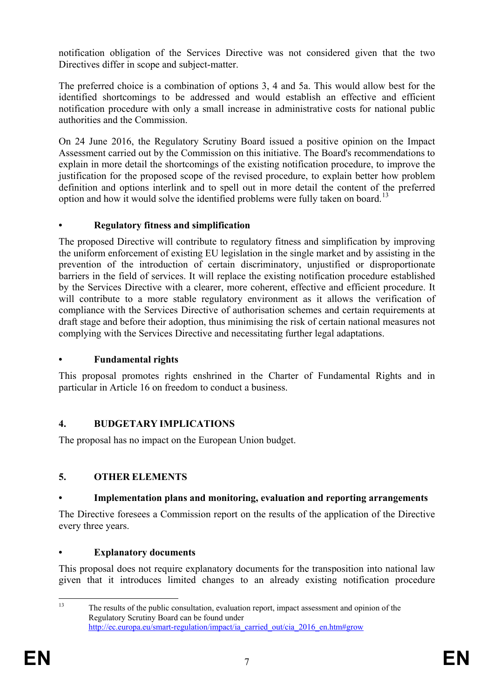notification obligation of the Services Directive was not considered given that the two Directives differ in scope and subject-matter.

The preferred choice is a combination of options 3, 4 and 5a. This would allow best for the identified shortcomings to be addressed and would establish an effective and efficient notification procedure with only a small increase in administrative costs for national public authorities and the Commission.

On 24 June 2016, the Regulatory Scrutiny Board issued a positive opinion on the Impact Assessment carried out by the Commission on this initiative. The Board's recommendations to explain in more detail the shortcomings of the existing notification procedure, to improve the justification for the proposed scope of the revised procedure, to explain better how problem definition and options interlink and to spell out in more detail the content of the preferred option and how it would solve the identified problems were fully taken on board.<sup>[13](#page-7-0)</sup>

## **• Regulatory fitness and simplification**

The proposed Directive will contribute to regulatory fitness and simplification by improving the uniform enforcement of existing EU legislation in the single market and by assisting in the prevention of the introduction of certain discriminatory, unjustified or disproportionate barriers in the field of services. It will replace the existing notification procedure established by the Services Directive with a clearer, more coherent, effective and efficient procedure. It will contribute to a more stable regulatory environment as it allows the verification of compliance with the Services Directive of authorisation schemes and certain requirements at draft stage and before their adoption, thus minimising the risk of certain national measures not complying with the Services Directive and necessitating further legal adaptations.

## **• Fundamental rights**

This proposal promotes rights enshrined in the Charter of Fundamental Rights and in particular in Article 16 on freedom to conduct a business.

## **4. BUDGETARY IMPLICATIONS**

The proposal has no impact on the European Union budget.

## **5. OTHER ELEMENTS**

## **• Implementation plans and monitoring, evaluation and reporting arrangements**

The Directive foresees a Commission report on the results of the application of the Directive every three years.

## **• Explanatory documents**

This proposal does not require explanatory documents for the transposition into national law given that it introduces limited changes to an already existing notification procedure

<span id="page-7-0"></span><sup>&</sup>lt;sup>13</sup> The results of the public consultation, evaluation report, impact assessment and opinion of the Regulatory Scrutiny Board can be found under [http://ec.europa.eu/smart-regulation/impact/ia\\_carried\\_out/cia\\_2016\\_en.htm#grow](http://ec.europa.eu/smart-regulation/impact/ia_carried_out/cia_2016_en.htm%23grow)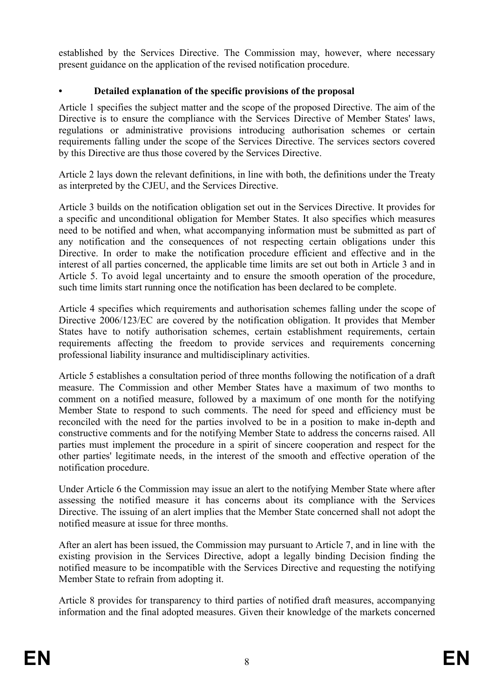established by the Services Directive. The Commission may, however, where necessary present guidance on the application of the revised notification procedure.

## **• Detailed explanation of the specific provisions of the proposal**

Article 1 specifies the subject matter and the scope of the proposed Directive. The aim of the Directive is to ensure the compliance with the Services Directive of Member States' laws, regulations or administrative provisions introducing authorisation schemes or certain requirements falling under the scope of the Services Directive. The services sectors covered by this Directive are thus those covered by the Services Directive.

Article 2 lays down the relevant definitions, in line with both, the definitions under the Treaty as interpreted by the CJEU, and the Services Directive.

Article 3 builds on the notification obligation set out in the Services Directive. It provides for a specific and unconditional obligation for Member States. It also specifies which measures need to be notified and when, what accompanying information must be submitted as part of any notification and the consequences of not respecting certain obligations under this Directive. In order to make the notification procedure efficient and effective and in the interest of all parties concerned, the applicable time limits are set out both in Article 3 and in Article 5. To avoid legal uncertainty and to ensure the smooth operation of the procedure, such time limits start running once the notification has been declared to be complete.

Article 4 specifies which requirements and authorisation schemes falling under the scope of Directive 2006/123/EC are covered by the notification obligation. It provides that Member States have to notify authorisation schemes, certain establishment requirements, certain requirements affecting the freedom to provide services and requirements concerning professional liability insurance and multidisciplinary activities.

Article 5 establishes a consultation period of three months following the notification of a draft measure. The Commission and other Member States have a maximum of two months to comment on a notified measure, followed by a maximum of one month for the notifying Member State to respond to such comments. The need for speed and efficiency must be reconciled with the need for the parties involved to be in a position to make in-depth and constructive comments and for the notifying Member State to address the concerns raised. All parties must implement the procedure in a spirit of sincere cooperation and respect for the other parties' legitimate needs, in the interest of the smooth and effective operation of the notification procedure.

Under Article 6 the Commission may issue an alert to the notifying Member State where after assessing the notified measure it has concerns about its compliance with the Services Directive. The issuing of an alert implies that the Member State concerned shall not adopt the notified measure at issue for three months.

After an alert has been issued, the Commission may pursuant to Article 7, and in line with the existing provision in the Services Directive, adopt a legally binding Decision finding the notified measure to be incompatible with the Services Directive and requesting the notifying Member State to refrain from adopting it.

Article 8 provides for transparency to third parties of notified draft measures, accompanying information and the final adopted measures. Given their knowledge of the markets concerned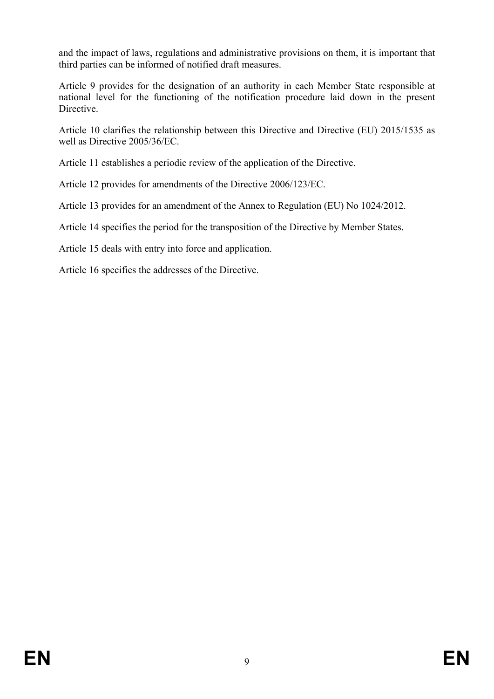and the impact of laws, regulations and administrative provisions on them, it is important that third parties can be informed of notified draft measures.

Article 9 provides for the designation of an authority in each Member State responsible at national level for the functioning of the notification procedure laid down in the present Directive.

Article 10 clarifies the relationship between this Directive and Directive (EU) 2015/1535 as well as Directive 2005/36/EC.

Article 11 establishes a periodic review of the application of the Directive.

Article 12 provides for amendments of the Directive 2006/123/EC.

Article 13 provides for an amendment of the Annex to Regulation (EU) No 1024/2012.

Article 14 specifies the period for the transposition of the Directive by Member States.

Article 15 deals with entry into force and application.

Article 16 specifies the addresses of the Directive.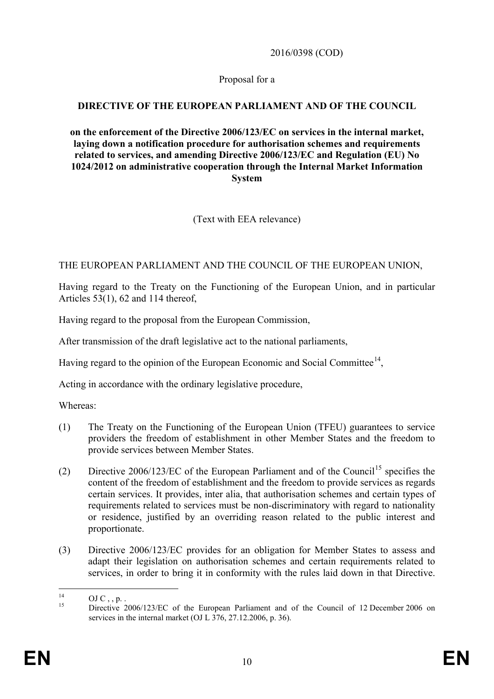2016/0398 (COD)

Proposal for a

## **DIRECTIVE OF THE EUROPEAN PARLIAMENT AND OF THE COUNCIL**

**on the enforcement of the Directive 2006/123/EC on services in the internal market, laying down a notification procedure for authorisation schemes and requirements related to services, and amending Directive 2006/123/EC and Regulation (EU) No 1024/2012 on administrative cooperation through the Internal Market Information System**

(Text with EEA relevance)

## THE EUROPEAN PARLIAMENT AND THE COUNCIL OF THE EUROPEAN UNION,

Having regard to the Treaty on the Functioning of the European Union, and in particular Articles 53(1), 62 and 114 thereof,

Having regard to the proposal from the European Commission,

After transmission of the draft legislative act to the national parliaments,

Having regard to the opinion of the European Economic and Social Committee<sup>[14](#page-10-0)</sup>,

Acting in accordance with the ordinary legislative procedure,

Whereas:

- (1) The Treaty on the Functioning of the European Union (TFEU) guarantees to service providers the freedom of establishment in other Member States and the freedom to provide services between Member States.
- (2) Directive  $2006/123/EC$  of the European Parliament and of the Council<sup>[15](#page-10-1)</sup> specifies the content of the freedom of establishment and the freedom to provide services as regards certain services. It provides, inter alia, that authorisation schemes and certain types of requirements related to services must be non-discriminatory with regard to nationality or residence, justified by an overriding reason related to the public interest and proportionate.
- (3) Directive 2006/123/EC provides for an obligation for Member States to assess and adapt their legislation on authorisation schemes and certain requirements related to services, in order to bring it in conformity with the rules laid down in that Directive.

<span id="page-10-1"></span><span id="page-10-0"></span><sup>&</sup>lt;sup>14</sup> OJ C, , p. . **Directive 2006/123/EC** of the European Parliament and of the Council of 12 December 2006 on services in the internal market (OJ L 376, 27.12.2006, p. 36).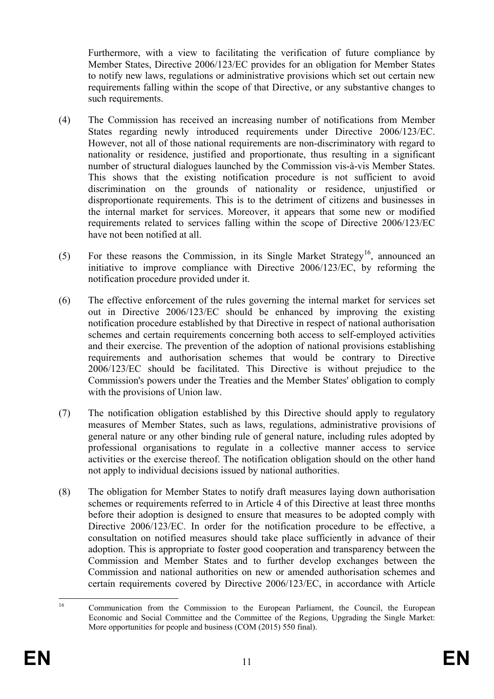Furthermore, with a view to facilitating the verification of future compliance by Member States, Directive 2006/123/EC provides for an obligation for Member States to notify new laws, regulations or administrative provisions which set out certain new requirements falling within the scope of that Directive, or any substantive changes to such requirements.

- (4) The Commission has received an increasing number of notifications from Member States regarding newly introduced requirements under Directive 2006/123/EC. However, not all of those national requirements are non-discriminatory with regard to nationality or residence, justified and proportionate, thus resulting in a significant number of structural dialogues launched by the Commission vis-à-vis Member States. This shows that the existing notification procedure is not sufficient to avoid discrimination on the grounds of nationality or residence, unjustified or disproportionate requirements. This is to the detriment of citizens and businesses in the internal market for services. Moreover, it appears that some new or modified requirements related to services falling within the scope of Directive 2006/123/EC have not been notified at all.
- (5) For these reasons the Commission, in its Single Market Strategy<sup>[16](#page-11-0)</sup>, announced an initiative to improve compliance with Directive 2006/123/EC, by reforming the notification procedure provided under it.
- (6) The effective enforcement of the rules governing the internal market for services set out in Directive 2006/123/EC should be enhanced by improving the existing notification procedure established by that Directive in respect of national authorisation schemes and certain requirements concerning both access to self-employed activities and their exercise. The prevention of the adoption of national provisions establishing requirements and authorisation schemes that would be contrary to Directive 2006/123/EC should be facilitated. This Directive is without prejudice to the Commission's powers under the Treaties and the Member States' obligation to comply with the provisions of Union law.
- (7) The notification obligation established by this Directive should apply to regulatory measures of Member States, such as laws, regulations, administrative provisions of general nature or any other binding rule of general nature, including rules adopted by professional organisations to regulate in a collective manner access to service activities or the exercise thereof. The notification obligation should on the other hand not apply to individual decisions issued by national authorities.
- (8) The obligation for Member States to notify draft measures laying down authorisation schemes or requirements referred to in Article 4 of this Directive at least three months before their adoption is designed to ensure that measures to be adopted comply with Directive 2006/123/EC. In order for the notification procedure to be effective, a consultation on notified measures should take place sufficiently in advance of their adoption. This is appropriate to foster good cooperation and transparency between the Commission and Member States and to further develop exchanges between the Commission and national authorities on new or amended authorisation schemes and certain requirements covered by Directive 2006/123/EC, in accordance with Article

<span id="page-11-0"></span><sup>&</sup>lt;sup>16</sup> Communication from the Commission to the European Parliament, the Council, the European Economic and Social Committee and the Committee of the Regions, Upgrading the Single Market: More opportunities for people and business (COM (2015) 550 final).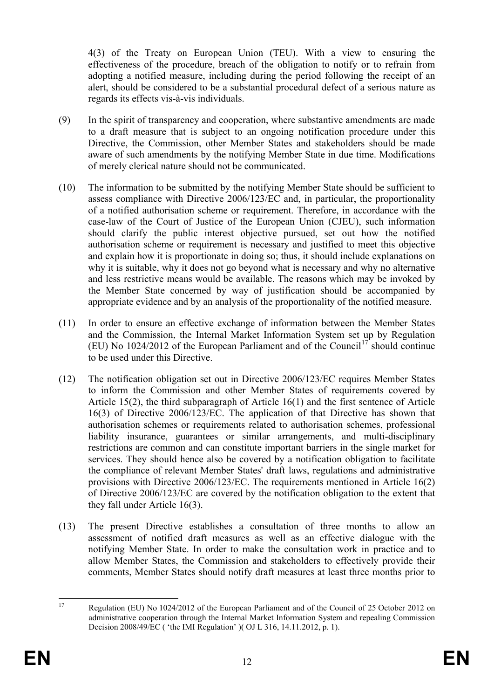4(3) of the Treaty on European Union (TEU). With a view to ensuring the effectiveness of the procedure, breach of the obligation to notify or to refrain from adopting a notified measure, including during the period following the receipt of an alert, should be considered to be a substantial procedural defect of a serious nature as regards its effects vis-à-vis individuals.

- (9) In the spirit of transparency and cooperation, where substantive amendments are made to a draft measure that is subject to an ongoing notification procedure under this Directive, the Commission, other Member States and stakeholders should be made aware of such amendments by the notifying Member State in due time. Modifications of merely clerical nature should not be communicated.
- (10) The information to be submitted by the notifying Member State should be sufficient to assess compliance with Directive 2006/123/EC and, in particular, the proportionality of a notified authorisation scheme or requirement. Therefore, in accordance with the case-law of the Court of Justice of the European Union (CJEU), such information should clarify the public interest objective pursued, set out how the notified authorisation scheme or requirement is necessary and justified to meet this objective and explain how it is proportionate in doing so; thus, it should include explanations on why it is suitable, why it does not go beyond what is necessary and why no alternative and less restrictive means would be available. The reasons which may be invoked by the Member State concerned by way of justification should be accompanied by appropriate evidence and by an analysis of the proportionality of the notified measure.
- (11) In order to ensure an effective exchange of information between the Member States and the Commission, the Internal Market Information System set up by Regulation (EU) No 1024/2012 of the European Parliament and of the Council<sup>[17](#page-12-0)</sup> should continue to be used under this Directive.
- (12) The notification obligation set out in Directive 2006/123/EC requires Member States to inform the Commission and other Member States of requirements covered by Article 15(2), the third subparagraph of Article 16(1) and the first sentence of Article 16(3) of Directive 2006/123/EC. The application of that Directive has shown that authorisation schemes or requirements related to authorisation schemes, professional liability insurance, guarantees or similar arrangements, and multi-disciplinary restrictions are common and can constitute important barriers in the single market for services. They should hence also be covered by a notification obligation to facilitate the compliance of relevant Member States' draft laws, regulations and administrative provisions with Directive 2006/123/EC. The requirements mentioned in Article 16(2) of Directive 2006/123/EC are covered by the notification obligation to the extent that they fall under Article 16(3).
- (13) The present Directive establishes a consultation of three months to allow an assessment of notified draft measures as well as an effective dialogue with the notifying Member State. In order to make the consultation work in practice and to allow Member States, the Commission and stakeholders to effectively provide their comments, Member States should notify draft measures at least three months prior to

<span id="page-12-0"></span><sup>&</sup>lt;sup>17</sup> Regulation (EU) No 1024/2012 of the European Parliament and of the Council of 25 October 2012 on administrative cooperation through the Internal Market Information System and repealing Commission Decision 2008/49/EC ( 'the IMI Regulation' )( OJ L 316, 14.11.2012, p. 1).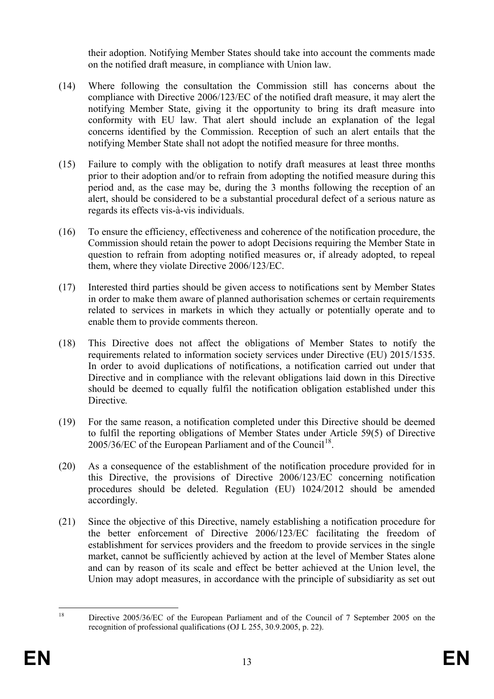their adoption. Notifying Member States should take into account the comments made on the notified draft measure, in compliance with Union law.

- (14) Where following the consultation the Commission still has concerns about the compliance with Directive 2006/123/EC of the notified draft measure, it may alert the notifying Member State, giving it the opportunity to bring its draft measure into conformity with EU law. That alert should include an explanation of the legal concerns identified by the Commission. Reception of such an alert entails that the notifying Member State shall not adopt the notified measure for three months.
- (15) Failure to comply with the obligation to notify draft measures at least three months prior to their adoption and/or to refrain from adopting the notified measure during this period and, as the case may be, during the 3 months following the reception of an alert, should be considered to be a substantial procedural defect of a serious nature as regards its effects vis-à-vis individuals.
- (16) To ensure the efficiency, effectiveness and coherence of the notification procedure, the Commission should retain the power to adopt Decisions requiring the Member State in question to refrain from adopting notified measures or, if already adopted, to repeal them, where they violate Directive 2006/123/EC.
- (17) Interested third parties should be given access to notifications sent by Member States in order to make them aware of planned authorisation schemes or certain requirements related to services in markets in which they actually or potentially operate and to enable them to provide comments thereon.
- (18) This Directive does not affect the obligations of Member States to notify the requirements related to information society services under Directive (EU) 2015/1535. In order to avoid duplications of notifications, a notification carried out under that Directive and in compliance with the relevant obligations laid down in this Directive should be deemed to equally fulfil the notification obligation established under this Directive*.*
- (19) For the same reason, a notification completed under this Directive should be deemed to fulfil the reporting obligations of Member States under Article 59(5) of Directive  $2005/36/EC$  of the European Parliament and of the Council<sup>18</sup>.
- (20) As a consequence of the establishment of the notification procedure provided for in this Directive, the provisions of Directive 2006/123/EC concerning notification procedures should be deleted. Regulation (EU) 1024/2012 should be amended accordingly.
- (21) Since the objective of this Directive, namely establishing a notification procedure for the better enforcement of Directive 2006/123/EC facilitating the freedom of establishment for services providers and the freedom to provide services in the single market, cannot be sufficiently achieved by action at the level of Member States alone and can by reason of its scale and effect be better achieved at the Union level, the Union may adopt measures, in accordance with the principle of subsidiarity as set out

<span id="page-13-0"></span><sup>&</sup>lt;sup>18</sup> Directive 2005/36/EC of the European Parliament and of the Council of 7 September 2005 on the recognition of professional qualifications (OJ L 255, 30.9.2005, p. 22).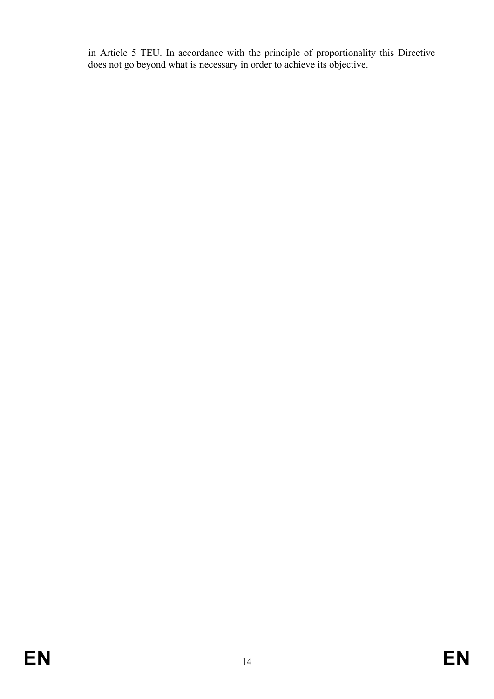in Article 5 TEU. In accordance with the principle of proportionality this Directive does not go beyond what is necessary in order to achieve its objective.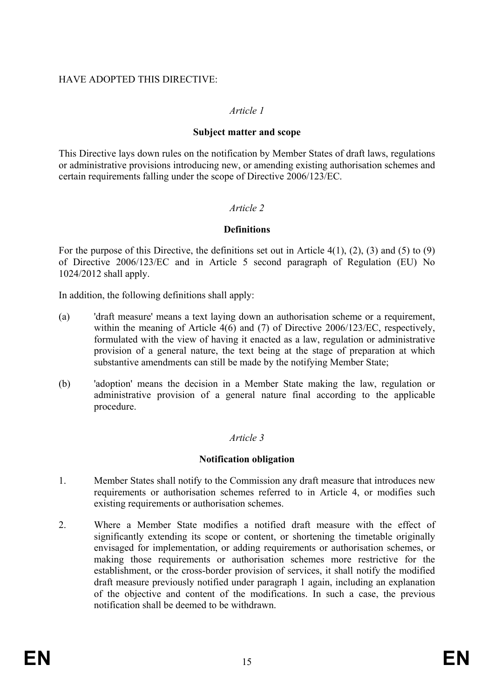## HAVE ADOPTED THIS DIRECTIVE:

## *Article 1*

#### **Subject matter and scope**

This Directive lays down rules on the notification by Member States of draft laws, regulations or administrative provisions introducing new, or amending existing authorisation schemes and certain requirements falling under the scope of Directive 2006/123/EC.

## *Article 2*

### **Definitions**

For the purpose of this Directive, the definitions set out in Article 4(1), (2), (3) and (5) to (9) of Directive 2006/123/EC and in Article 5 second paragraph of Regulation (EU) No 1024/2012 shall apply.

In addition, the following definitions shall apply:

- (a) 'draft measure' means a text laying down an authorisation scheme or a requirement, within the meaning of Article 4(6) and (7) of Directive 2006/123/EC, respectively, formulated with the view of having it enacted as a law, regulation or administrative provision of a general nature, the text being at the stage of preparation at which substantive amendments can still be made by the notifying Member State;
- (b) 'adoption' means the decision in a Member State making the law, regulation or administrative provision of a general nature final according to the applicable procedure.

## *Article 3*

#### **Notification obligation**

- 1. Member States shall notify to the Commission any draft measure that introduces new requirements or authorisation schemes referred to in Article 4, or modifies such existing requirements or authorisation schemes.
- 2. Where a Member State modifies a notified draft measure with the effect of significantly extending its scope or content, or shortening the timetable originally envisaged for implementation, or adding requirements or authorisation schemes, or making those requirements or authorisation schemes more restrictive for the establishment, or the cross-border provision of services, it shall notify the modified draft measure previously notified under paragraph 1 again, including an explanation of the objective and content of the modifications. In such a case, the previous notification shall be deemed to be withdrawn.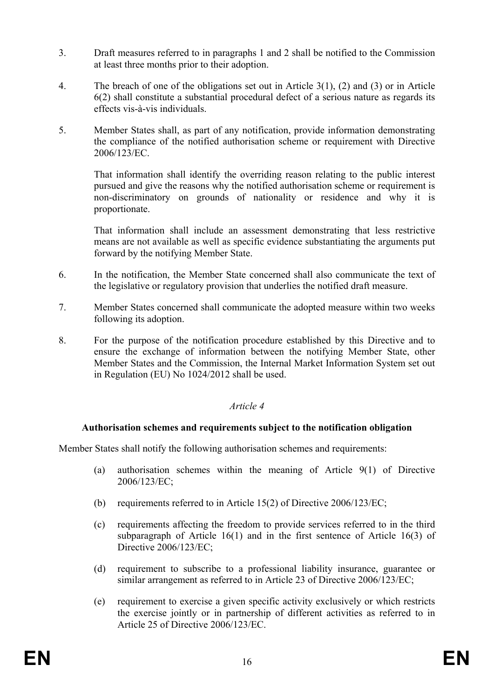- 3. Draft measures referred to in paragraphs 1 and 2 shall be notified to the Commission at least three months prior to their adoption.
- 4. The breach of one of the obligations set out in Article 3(1), (2) and (3) or in Article 6(2) shall constitute a substantial procedural defect of a serious nature as regards its effects vis-à-vis individuals.
- 5. Member States shall, as part of any notification, provide information demonstrating the compliance of the notified authorisation scheme or requirement with Directive 2006/123/EC.

That information shall identify the overriding reason relating to the public interest pursued and give the reasons why the notified authorisation scheme or requirement is non-discriminatory on grounds of nationality or residence and why it is proportionate.

That information shall include an assessment demonstrating that less restrictive means are not available as well as specific evidence substantiating the arguments put forward by the notifying Member State.

- 6. In the notification, the Member State concerned shall also communicate the text of the legislative or regulatory provision that underlies the notified draft measure.
- 7. Member States concerned shall communicate the adopted measure within two weeks following its adoption.
- 8. For the purpose of the notification procedure established by this Directive and to ensure the exchange of information between the notifying Member State, other Member States and the Commission, the Internal Market Information System set out in Regulation (EU) No 1024/2012 shall be used.

## *Article 4*

#### **Authorisation schemes and requirements subject to the notification obligation**

Member States shall notify the following authorisation schemes and requirements:

- (a) authorisation schemes within the meaning of Article 9(1) of Directive 2006/123/EC;
- (b) requirements referred to in Article 15(2) of Directive 2006/123/EC;
- (c) requirements affecting the freedom to provide services referred to in the third subparagraph of Article 16(1) and in the first sentence of Article 16(3) of Directive 2006/123/EC;
- (d) requirement to subscribe to a professional liability insurance, guarantee or similar arrangement as referred to in Article 23 of Directive 2006/123/EC;
- (e) requirement to exercise a given specific activity exclusively or which restricts the exercise jointly or in partnership of different activities as referred to in Article 25 of Directive 2006/123/EC.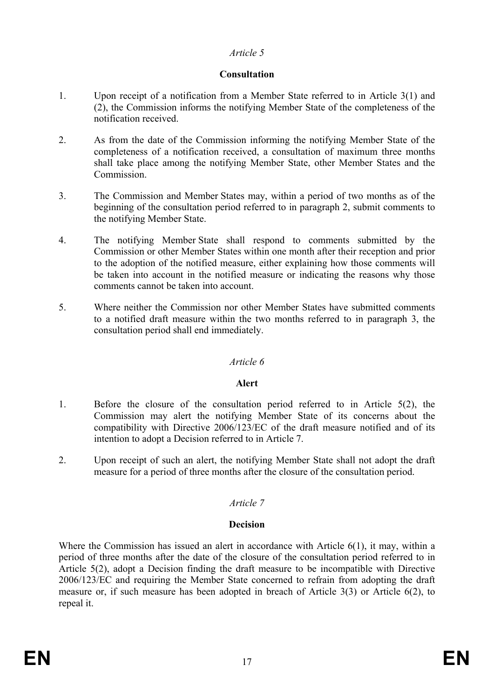## *Article 5*

## **Consultation**

- 1. Upon receipt of a notification from a Member State referred to in Article 3(1) and (2), the Commission informs the notifying Member State of the completeness of the notification received.
- 2. As from the date of the Commission informing the notifying Member State of the completeness of a notification received, a consultation of maximum three months shall take place among the notifying Member State, other Member States and the Commission.
- 3. The Commission and Member States may, within a period of two months as of the beginning of the consultation period referred to in paragraph 2, submit comments to the notifying Member State.
- 4. The notifying Member State shall respond to comments submitted by the Commission or other Member States within one month after their reception and prior to the adoption of the notified measure, either explaining how those comments will be taken into account in the notified measure or indicating the reasons why those comments cannot be taken into account.
- 5. Where neither the Commission nor other Member States have submitted comments to a notified draft measure within the two months referred to in paragraph 3, the consultation period shall end immediately.

## *Article 6*

## **Alert**

- 1. Before the closure of the consultation period referred to in Article 5(2), the Commission may alert the notifying Member State of its concerns about the compatibility with Directive 2006/123/EC of the draft measure notified and of its intention to adopt a Decision referred to in Article 7.
- 2. Upon receipt of such an alert, the notifying Member State shall not adopt the draft measure for a period of three months after the closure of the consultation period.

# *Article 7*

## **Decision**

Where the Commission has issued an alert in accordance with Article 6(1), it may, within a period of three months after the date of the closure of the consultation period referred to in Article 5(2), adopt a Decision finding the draft measure to be incompatible with Directive 2006/123/EC and requiring the Member State concerned to refrain from adopting the draft measure or, if such measure has been adopted in breach of Article 3(3) or Article 6(2), to repeal it.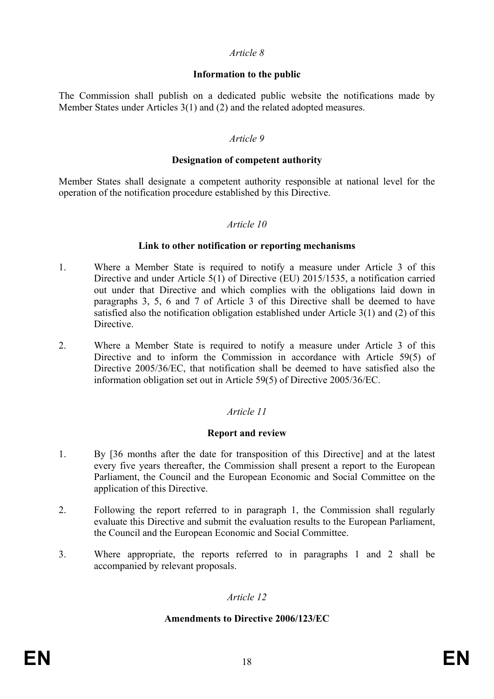#### *Article 8*

### **Information to the public**

The Commission shall publish on a dedicated public website the notifications made by Member States under Articles 3(1) and (2) and the related adopted measures.

#### *Article 9*

#### **Designation of competent authority**

Member States shall designate a competent authority responsible at national level for the operation of the notification procedure established by this Directive.

### *Article 10*

#### **Link to other notification or reporting mechanisms**

- 1. Where a Member State is required to notify a measure under Article 3 of this Directive and under Article 5(1) of Directive (EU) 2015/1535, a notification carried out under that Directive and which complies with the obligations laid down in paragraphs 3, 5, 6 and 7 of Article 3 of this Directive shall be deemed to have satisfied also the notification obligation established under Article 3(1) and (2) of this **Directive**
- 2. Where a Member State is required to notify a measure under Article 3 of this Directive and to inform the Commission in accordance with Article 59(5) of Directive 2005/36/EC, that notification shall be deemed to have satisfied also the information obligation set out in Article 59(5) of Directive 2005/36/EC.

## *Article 11*

## **Report and review**

- 1. By [36 months after the date for transposition of this Directive] and at the latest every five years thereafter, the Commission shall present a report to the European Parliament, the Council and the European Economic and Social Committee on the application of this Directive.
- 2. Following the report referred to in paragraph 1, the Commission shall regularly evaluate this Directive and submit the evaluation results to the European Parliament, the Council and the European Economic and Social Committee.
- 3. Where appropriate, the reports referred to in paragraphs 1 and 2 shall be accompanied by relevant proposals.

## *Article 12*

#### **Amendments to Directive 2006/123/EC**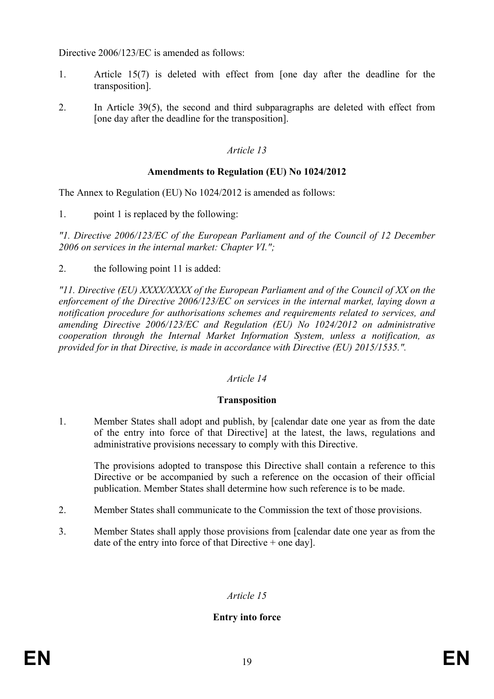Directive 2006/123/EC is amended as follows:

- 1. Article 15(7) is deleted with effect from [one day after the deadline for the transposition].
- 2. In Article 39(5), the second and third subparagraphs are deleted with effect from [one day after the deadline for the transposition].

## *Article 13*

### **Amendments to Regulation (EU) No 1024/2012**

The Annex to Regulation (EU) No 1024/2012 is amended as follows:

1. point 1 is replaced by the following:

*"1. Directive 2006/123/EC of the European Parliament and of the Council of 12 December 2006 on services in the internal market: Chapter VI.";*

2. the following point 11 is added:

*"11. Directive (EU) XXXX/XXXX of the European Parliament and of the Council of XX on the enforcement of the Directive 2006/123/EC on services in the internal market, laying down a notification procedure for authorisations schemes and requirements related to services, and amending Directive 2006/123/EC and Regulation (EU) No 1024/2012 on administrative cooperation through the Internal Market Information System, unless a notification, as provided for in that Directive, is made in accordance with Directive (EU) 2015/1535.".*

## *Article 14*

#### **Transposition**

1. Member States shall adopt and publish, by [calendar date one year as from the date of the entry into force of that Directive] at the latest, the laws, regulations and administrative provisions necessary to comply with this Directive.

The provisions adopted to transpose this Directive shall contain a reference to this Directive or be accompanied by such a reference on the occasion of their official publication. Member States shall determine how such reference is to be made.

- 2. Member States shall communicate to the Commission the text of those provisions.
- 3. Member States shall apply those provisions from [calendar date one year as from the date of the entry into force of that Directive + one day].

## *Article 15*

## **Entry into force**